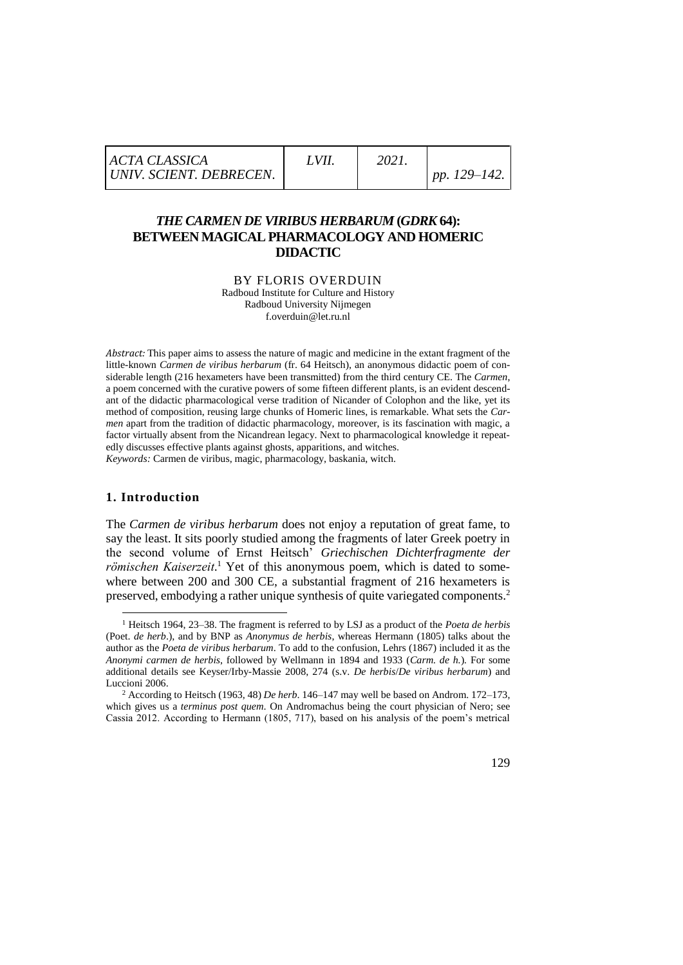| <b>ACTA CLASSICA</b>    | LVII | 2021 |                   |
|-------------------------|------|------|-------------------|
| UNIV. SCIENT. DEBRECEN. |      |      | pp. $129 - 142$ . |

# *THE CARMEN DE VIRIBUS HERBARUM* **(***GDRK* **64): BETWEEN MAGICAL PHARMACOLOGY AND HOMERIC DIDACTIC**

BY FLORIS OVERDUIN Radboud Institute for Culture and History Radboud University Nijmegen f.overduin@let.ru.nl

*Abstract:* This paper aims to assess the nature of magic and medicine in the extant fragment of the little-known *Carmen de viribus herbarum* (fr. 64 Heitsch), an anonymous didactic poem of considerable length (216 hexameters have been transmitted) from the third century CE. The *Carmen*, a poem concerned with the curative powers of some fifteen different plants, is an evident descendant of the didactic pharmacological verse tradition of Nicander of Colophon and the like, yet its method of composition, reusing large chunks of Homeric lines, is remarkable. What sets the *Carmen* apart from the tradition of didactic pharmacology, moreover, is its fascination with magic, a factor virtually absent from the Nicandrean legacy. Next to pharmacological knowledge it repeatedly discusses effective plants against ghosts, apparitions, and witches. *Keywords:* Carmen de viribus, magic, pharmacology, baskania, witch.

#### **1. Introduction**

1

The *Carmen de viribus herbarum* does not enjoy a reputation of great fame, to say the least. It sits poorly studied among the fragments of later Greek poetry in the second volume of Ernst Heitsch' *Griechischen Dichterfragmente der römischen Kaiserzeit*. <sup>1</sup> Yet of this anonymous poem, which is dated to somewhere between 200 and 300 CE, a substantial fragment of 216 hexameters is preserved, embodying a rather unique synthesis of quite variegated components.<sup>2</sup>

<sup>1</sup> Heitsch 1964, 23–38. The fragment is referred to by LSJ as a product of the *Poeta de herbis* (Poet. *de herb*.), and by BNP as *Anonymus de herbis*, whereas Hermann (1805) talks about the author as the *Poeta de viribus herbarum*. To add to the confusion, Lehrs (1867) included it as the *Anonymi carmen de herbis*, followed by Wellmann in 1894 and 1933 (*Carm. de h.*)*.* For some additional details see Keyser/Irby-Massie 2008, 274 (s.v. *De herbis*/*De viribus herbarum*) and Luccioni 2006.

<sup>2</sup> According to Heitsch (1963, 48) *De herb*. 146–147 may well be based on Androm. 172–173, which gives us a *terminus post quem*. On Andromachus being the court physician of Nero; see Cassia 2012. According to Hermann (1805, 717), based on his analysis of the poem's metrical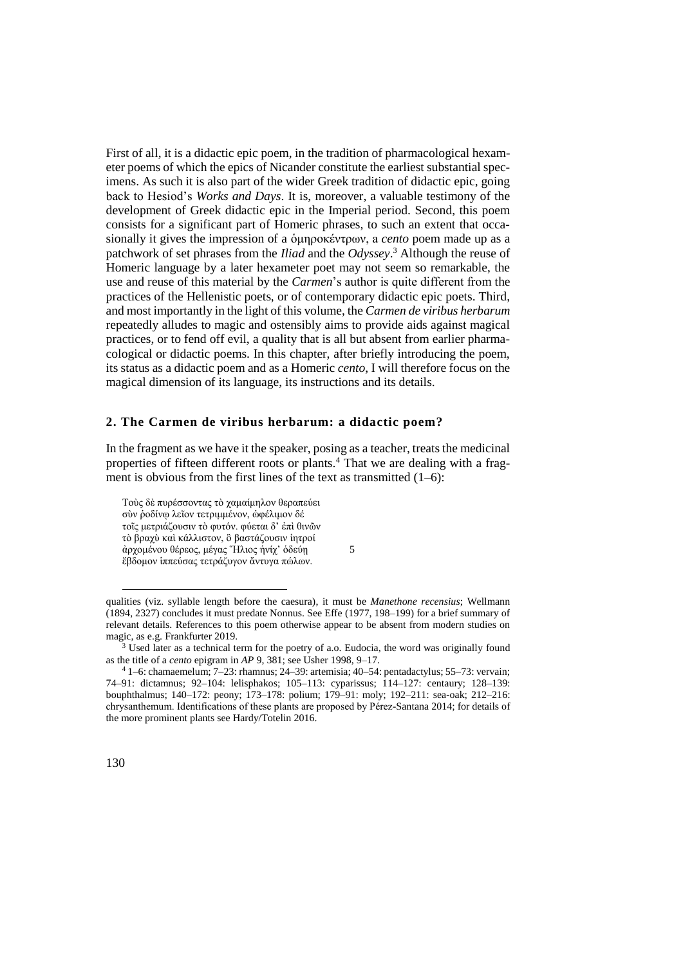First of all, it is a didactic epic poem, in the tradition of pharmacological hexameter poems of which the epics of Nicander constitute the earliest substantial specimens. As such it is also part of the wider Greek tradition of didactic epic, going back to Hesiod's *Works and Days*. It is, moreover, a valuable testimony of the development of Greek didactic epic in the Imperial period. Second, this poem consists for a significant part of Homeric phrases, to such an extent that occasionally it gives the impression of a ὁμηροκέντρων, a *cento* poem made up as a patchwork of set phrases from the *Iliad* and the *Odyssey*. <sup>3</sup> Although the reuse of Homeric language by a later hexameter poet may not seem so remarkable, the use and reuse of this material by the *Carmen*'s author is quite different from the practices of the Hellenistic poets, or of contemporary didactic epic poets. Third, and most importantly in the light of this volume, the *Carmen de viribus herbarum* repeatedly alludes to magic and ostensibly aims to provide aids against magical practices, or to fend off evil, a quality that is all but absent from earlier pharmacological or didactic poems. In this chapter, after briefly introducing the poem, its status as a didactic poem and as a Homeric *cento*, I will therefore focus on the magical dimension of its language, its instructions and its details.

### **2. The Carmen de viribus herbarum: a didactic poem?**

In the fragment as we have it the speaker, posing as a teacher, treats the medicinal properties of fifteen different roots or plants.<sup>4</sup> That we are dealing with a fragment is obvious from the first lines of the text as transmitted  $(1-6)$ :

Τοὺς δὲ πυρέσσοντας τὸ χαμαίμηλον θεραπεύει σὺν ῥοδίνῳ λεῖον τετριμμένον, ὠφέλιμον δέ τοῖς μετριάζουσιν τὸ φυτόν. φύεται δ' ἐπὶ θινῶν τὸ βραχὺ καὶ κάλλιστον, ὃ βαστάζουσιν ἰητροί ἀρχομένου θέρεος, μέγας Ἥλιος ἡνίχ' ὁδεύῃ 5 ἕβδομον ἱππεύσας τετράζυγον ἄντυγα πώλων.

-

qualities (viz. syllable length before the caesura), it must be *Manethone recensius*; Wellmann (1894, 2327) concludes it must predate Nonnus. See Effe (1977, 198–199) for a brief summary of relevant details. References to this poem otherwise appear to be absent from modern studies on magic, as e.g. Frankfurter 2019.

<sup>&</sup>lt;sup>3</sup> Used later as a technical term for the poetry of a.o. Eudocia, the word was originally found as the title of a *cento* epigram in *AP* 9, 381; see Usher 1998, 9–17.

<sup>4</sup> 1–6: chamaemelum; 7–23: rhamnus; 24–39: artemisia; 40–54: pentadactylus; 55–73: vervain; 74–91: dictamnus; 92–104: lelisphakos; 105–113: cyparissus; 114–127: centaury; 128–139: bouphthalmus; 140–172: peony; 173–178: polium; 179–91: moly; 192–211: sea-oak; 212–216: chrysanthemum. Identifications of these plants are proposed by Pérez-Santana 2014; for details of the more prominent plants see Hardy/Totelin 2016.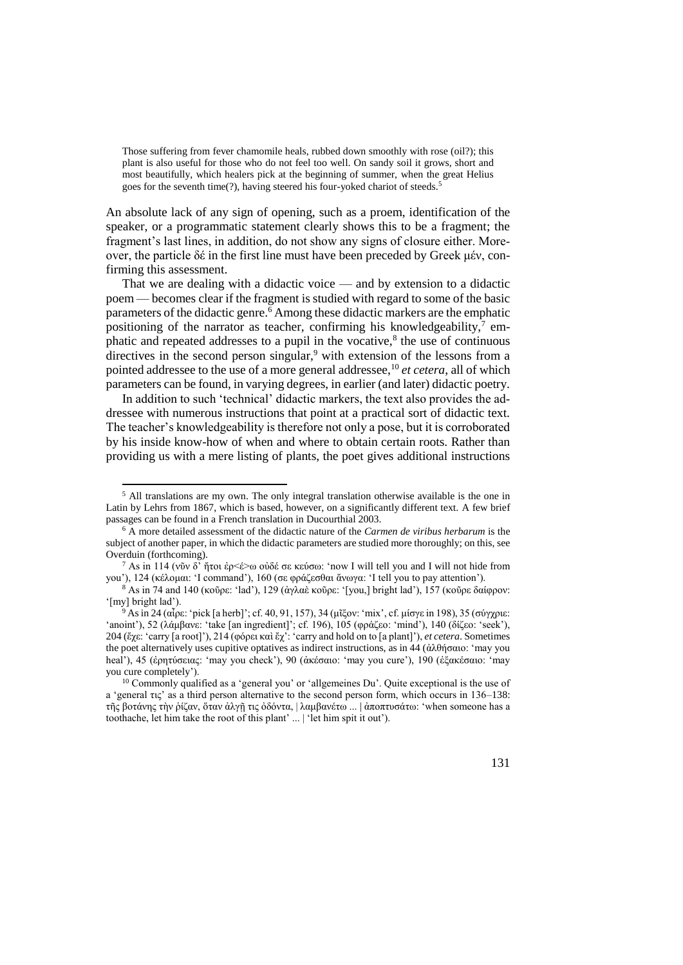Those suffering from fever chamomile heals, rubbed down smoothly with rose (oil?); this plant is also useful for those who do not feel too well. On sandy soil it grows, short and most beautifully, which healers pick at the beginning of summer, when the great Helius goes for the seventh time(?), having steered his four-yoked chariot of steeds.<sup>5</sup>

An absolute lack of any sign of opening, such as a proem, identification of the speaker, or a programmatic statement clearly shows this to be a fragment; the fragment's last lines, in addition, do not show any signs of closure either. Moreover, the particle δέ in the first line must have been preceded by Greek μέν, confirming this assessment.

That we are dealing with a didactic voice — and by extension to a didactic poem — becomes clear if the fragment is studied with regard to some of the basic parameters of the didactic genre.<sup>6</sup> Among these didactic markers are the emphatic positioning of the narrator as teacher, confirming his knowledgeability, $\frac{7}{1}$  emphatic and repeated addresses to a pupil in the vocative, $8$  the use of continuous directives in the second person singular,<sup>9</sup> with extension of the lessons from a pointed addressee to the use of a more general addressee,<sup>10</sup> *et cetera*, all of which parameters can be found, in varying degrees, in earlier (and later) didactic poetry.

In addition to such 'technical' didactic markers, the text also provides the addressee with numerous instructions that point at a practical sort of didactic text. The teacher's knowledgeability is therefore not only a pose, but it is corroborated by his inside know-how of when and where to obtain certain roots. Rather than providing us with a mere listing of plants, the poet gives additional instructions

-

<sup>&</sup>lt;sup>10</sup> Commonly qualified as a 'general you' or 'allgemeines Du'. Quite exceptional is the use of a 'general τις' as a third person alternative to the second person form, which occurs in 136–138: τῆς βοτάνης τὴν ῥίζαν, ὅταν ἀλγῇ τις ὀδόντα, | λαμβανέτω ... | ἀποπτυσάτω: 'when someone has a toothache, let him take the root of this plant' ... | 'let him spit it out').



<sup>5</sup> All translations are my own. The only integral translation otherwise available is the one in Latin by Lehrs from 1867, which is based, however, on a significantly different text. A few brief passages can be found in a French translation in Ducourthial 2003.

<sup>6</sup> A more detailed assessment of the didactic nature of the *Carmen de viribus herbarum* is the subject of another paper, in which the didactic parameters are studied more thoroughly; on this, see Overduin (forthcoming).

<sup>&</sup>lt;sup>7</sup> As in 114 (νῦν δ' ἥτοι ἐρ<έ>ω οὐδέ σε κεύσω: 'now I will tell you and I will not hide from you'), 124 (κέλομαι: 'I command'), 160 (σε φράζεσθαι ἄνωγα: 'I tell you to pay attention').

 $8$  As in 74 and 140 (κοῦρε: 'lad'), 129 (ἀγλαὲ κοῦρε: '[you,] bright lad'), 157 (κοῦρε δαίφρον: '[my] bright lad').

<sup>9</sup> As in 24 (αἶρε: 'pick [a herb]'; cf. 40, 91, 157), 34 (μῖξον: 'mix', cf. μίσγε in 198), 35 (σύγχριε: 'anoint'), 52 (λάμβανε: 'take [an ingredient]'; cf. 196), 105 (φράζεο: 'mind'), 140 (δίζεο: 'seek'), 204 (ἔχε: 'carry [a root]'), 214 (φόρει καὶ ἔχ': 'carry and hold on to [a plant]'), *et cetera*. Sometimes the poet alternatively uses cupitive optatives as indirect instructions, as in 44 (ἀλθήσαιο: 'may you heal'), 45 (ἐρητύσειας: 'may you check'), 90 (ἀκέσαιο: 'may you cure'), 190 (ἐξακέσαιο: 'may you cure completely').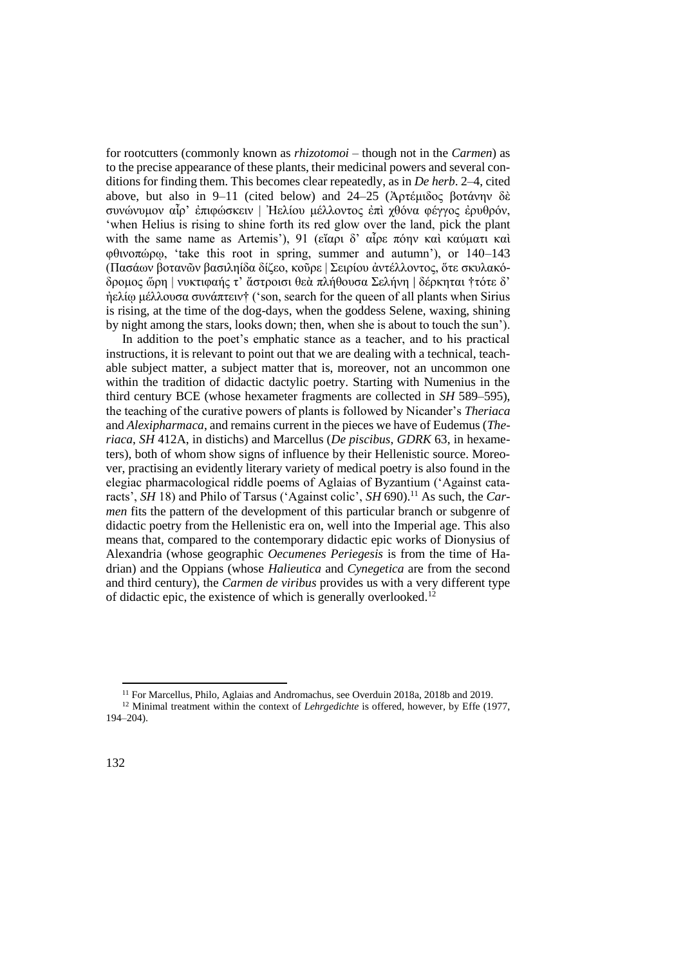for rootcutters (commonly known as *rhizotomoi* – though not in the *Carmen*) as to the precise appearance of these plants, their medicinal powers and several conditions for finding them. This becomes clear repeatedly, as in *De herb*. 2–4, cited above, but also in 9–11 (cited below) and 24–25 (Ἀρτέμιδος βοτάνην δὲ συνώνυμον αἶρ' ἐπιφώσκειν | Ἠελίου μέλλοντος ἐπὶ χθόνα φέγγος ἐρυθρόν, 'when Helius is rising to shine forth its red glow over the land, pick the plant with the same name as Artemis'), 91 (εἴαρι δ' αἶρε πόην καὶ καύματι καὶ φθινοπώρῳ, 'take this root in spring, summer and autumn'), or 140–143 (Πασάων βοτανῶν βασιληίδα δίζεο, κοῦρε | Σειρίου ἀντέλλοντος, ὅτε σκυλακόδρομος ὥρη | νυκτιφαής τ' ἄστροισι θεὰ πλήθουσα Σελήνη | δέρκηται †τότε δ' ἠελίῳ μέλλουσα συνάπτειν† ('son, search for the queen of all plants when Sirius is rising, at the time of the dog-days, when the goddess Selene, waxing, shining by night among the stars, looks down; then, when she is about to touch the sun').

In addition to the poet's emphatic stance as a teacher, and to his practical instructions, it is relevant to point out that we are dealing with a technical, teachable subject matter, a subject matter that is, moreover, not an uncommon one within the tradition of didactic dactylic poetry. Starting with Numenius in the third century BCE (whose hexameter fragments are collected in *SH* 589–595), the teaching of the curative powers of plants is followed by Nicander's *Theriaca* and *Alexipharmaca*, and remains current in the pieces we have of Eudemus (*Theriaca*, *SH* 412A, in distichs) and Marcellus (*De piscibus*, *GDRK* 63, in hexameters), both of whom show signs of influence by their Hellenistic source. Moreover, practising an evidently literary variety of medical poetry is also found in the elegiac pharmacological riddle poems of Aglaias of Byzantium ('Against cataracts', *SH* 18) and Philo of Tarsus ('Against colic', *SH* 690).<sup>11</sup> As such, the *Carmen* fits the pattern of the development of this particular branch or subgenre of didactic poetry from the Hellenistic era on, well into the Imperial age. This also means that, compared to the contemporary didactic epic works of Dionysius of Alexandria (whose geographic *Oecumenes Periegesis* is from the time of Hadrian) and the Oppians (whose *Halieutica* and *Cynegetica* are from the second and third century), the *Carmen de viribus* provides us with a very different type of didactic epic, the existence of which is generally overlooked.<sup>12</sup>

<sup>1</sup> <sup>11</sup> For Marcellus, Philo, Aglaias and Andromachus, see Overduin 2018a, 2018b and 2019.

<sup>&</sup>lt;sup>12</sup> Minimal treatment within the context of *Lehrgedichte* is offered, however, by Effe (1977, 194–204).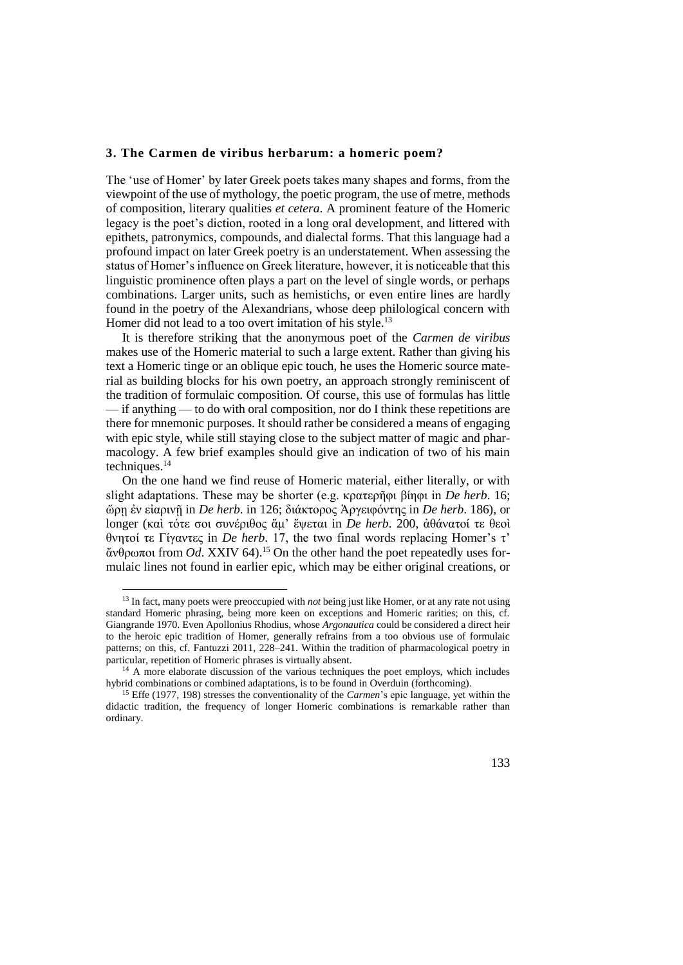#### **3. The Carmen de viribus herbarum: a homeric poem?**

The 'use of Homer' by later Greek poets takes many shapes and forms, from the viewpoint of the use of mythology, the poetic program, the use of metre, methods of composition, literary qualities *et cetera*. A prominent feature of the Homeric legacy is the poet's diction, rooted in a long oral development, and littered with epithets, patronymics, compounds, and dialectal forms. That this language had a profound impact on later Greek poetry is an understatement. When assessing the status of Homer's influence on Greek literature, however, it is noticeable that this linguistic prominence often plays a part on the level of single words, or perhaps combinations. Larger units, such as hemistichs, or even entire lines are hardly found in the poetry of the Alexandrians, whose deep philological concern with Homer did not lead to a too overt imitation of his style.<sup>13</sup>

It is therefore striking that the anonymous poet of the *Carmen de viribus* makes use of the Homeric material to such a large extent. Rather than giving his text a Homeric tinge or an oblique epic touch, he uses the Homeric source material as building blocks for his own poetry, an approach strongly reminiscent of the tradition of formulaic composition. Of course, this use of formulas has little — if anything — to do with oral composition, nor do I think these repetitions are there for mnemonic purposes. It should rather be considered a means of engaging with epic style, while still staying close to the subject matter of magic and pharmacology. A few brief examples should give an indication of two of his main techniques.<sup>14</sup>

On the one hand we find reuse of Homeric material, either literally, or with slight adaptations. These may be shorter (e.g. κρατερῆφι βίηφι in *De herb*. 16; ὥρῃ ἐν εἰαρινῇ in *De herb*. in 126; διάκτορος Ἀργειφόντης in *De herb*. 186), or longer (καὶ τότε σοι συνέριθος ἅμ' ἕψεται in *De herb*. 200, ἀθάνατοί τε θεοὶ θνητοί τε Γίγαντες in *De herb*. 17, the two final words replacing Homer's τ' ἄνθρωποι from *Od*. XXIV 64).<sup>15</sup> On the other hand the poet repeatedly uses formulaic lines not found in earlier epic, which may be either original creations, or

-

<sup>13</sup> In fact, many poets were preoccupied with *not* being just like Homer, or at any rate not using standard Homeric phrasing, being more keen on exceptions and Homeric rarities; on this, cf. Giangrande 1970. Even Apollonius Rhodius, whose *Argonautica* could be considered a direct heir to the heroic epic tradition of Homer, generally refrains from a too obvious use of formulaic patterns; on this, cf. Fantuzzi 2011, 228–241. Within the tradition of pharmacological poetry in particular, repetition of Homeric phrases is virtually absent.

<sup>&</sup>lt;sup>14</sup> A more elaborate discussion of the various techniques the poet employs, which includes hybrid combinations or combined adaptations, is to be found in Overduin (forthcoming).

<sup>15</sup> Effe (1977, 198) stresses the conventionality of the *Carmen*'s epic language, yet within the didactic tradition, the frequency of longer Homeric combinations is remarkable rather than ordinary.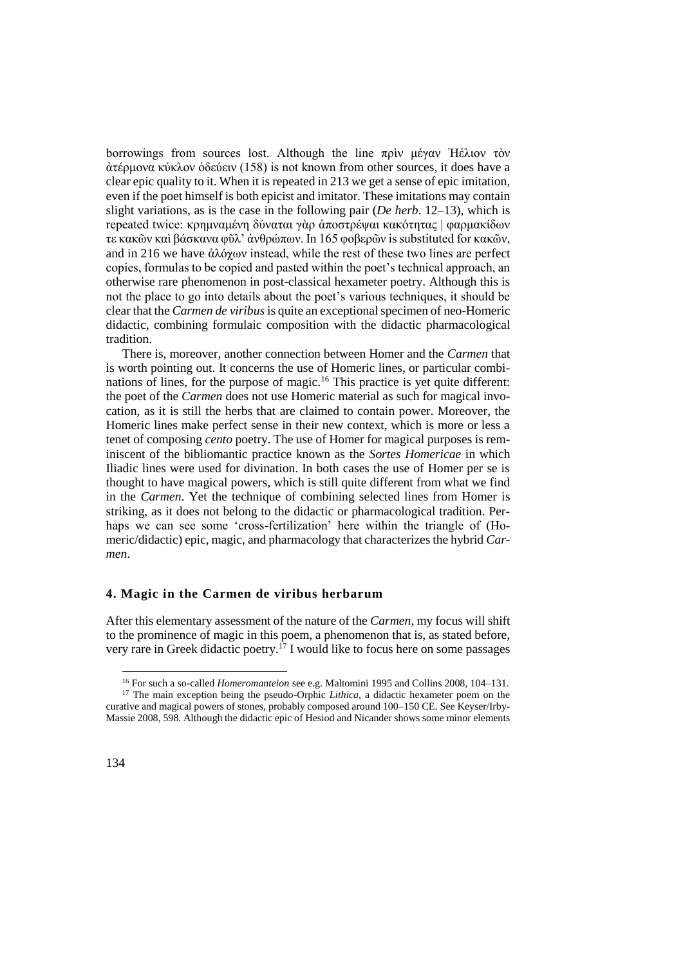borrowings from sources lost. Although the line πρὶν μέγαν Ἠέλιον τὸν ἀτέρμονα κύκλον ὁδεύειν (158) is not known from other sources, it does have a clear epic quality to it. When it is repeated in 213 we get a sense of epic imitation, even if the poet himself is both epicist and imitator. These imitations may contain slight variations, as is the case in the following pair (*De herb*. 12–13), which is repeated twice: κρημναμένη δύναται γὰρ ἀποστρέψαι κακότητας | φαρμακίδων τε κακῶν καὶ βάσκανα φῦλ' ἀνθρώπων. In 165 φοβερῶν is substituted for κακῶν, and in 216 we have ἀλόχων instead, while the rest of these two lines are perfect copies, formulas to be copied and pasted within the poet's technical approach, an otherwise rare phenomenon in post-classical hexameter poetry. Although this is not the place to go into details about the poet's various techniques, it should be clear that the *Carmen de viribus*is quite an exceptional specimen of neo-Homeric didactic, combining formulaic composition with the didactic pharmacological tradition.

There is, moreover, another connection between Homer and the *Carmen* that is worth pointing out. It concerns the use of Homeric lines, or particular combinations of lines, for the purpose of magic.<sup>16</sup> This practice is yet quite different: the poet of the *Carmen* does not use Homeric material as such for magical invocation, as it is still the herbs that are claimed to contain power. Moreover, the Homeric lines make perfect sense in their new context, which is more or less a tenet of composing *cento* poetry. The use of Homer for magical purposes is reminiscent of the bibliomantic practice known as the *Sortes Homericae* in which Iliadic lines were used for divination. In both cases the use of Homer per se is thought to have magical powers, which is still quite different from what we find in the *Carmen*. Yet the technique of combining selected lines from Homer is striking, as it does not belong to the didactic or pharmacological tradition. Perhaps we can see some 'cross-fertilization' here within the triangle of (Homeric/didactic) epic, magic, and pharmacology that characterizes the hybrid *Carmen*.

### **4. Magic in the Carmen de viribus herbarum**

After this elementary assessment of the nature of the *Carmen*, my focus will shift to the prominence of magic in this poem, a phenomenon that is, as stated before, very rare in Greek didactic poetry.<sup>17</sup> I would like to focus here on some passages

<sup>16</sup> For such a so-called *Homeromanteion* see e.g. Maltomini 1995 and Collins 2008, 104–131.

<sup>&</sup>lt;sup>17</sup> The main exception being the pseudo-Orphic *Lithica*, a didactic hexameter poem on the curative and magical powers of stones, probably composed around 100–150 CE. See Keyser/Irby-Massie 2008, 598. Although the didactic epic of Hesiod and Nicander shows some minor elements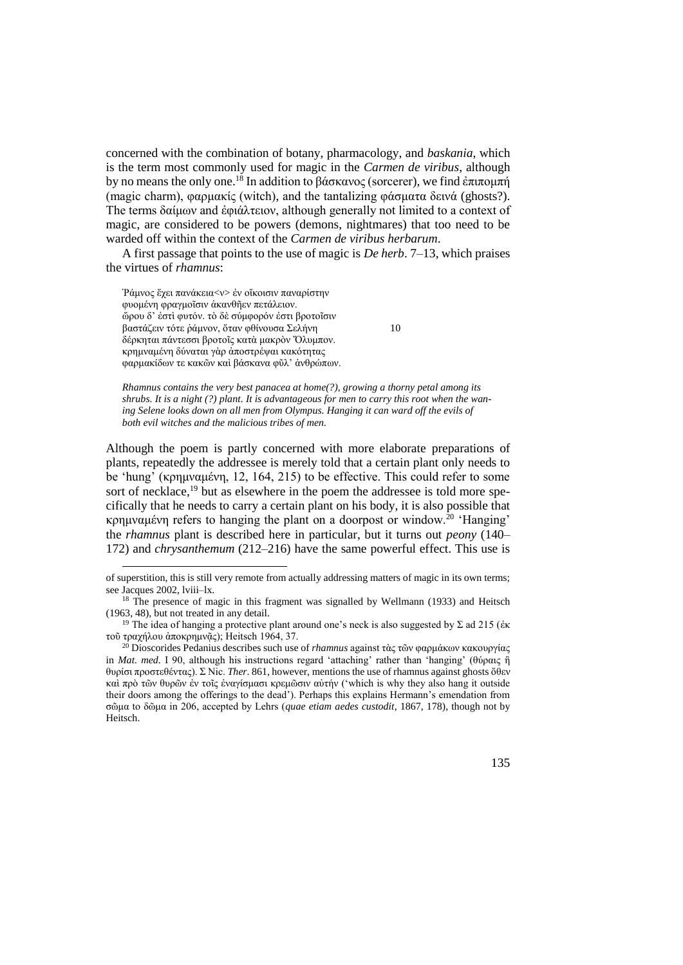concerned with the combination of botany, pharmacology, and *baskania*, which is the term most commonly used for magic in the *Carmen de viribus*, although by no means the only one.<sup>18</sup> In addition to βάσκανος (sorcerer), we find ἐπιπομπή (magic charm), φαρμακίς (witch), and the tantalizing φάσματα δεινά (ghosts?). The terms δαίμων and ἐφιάλτειον, although generally not limited to a context of magic, are considered to be powers (demons, nightmares) that too need to be warded off within the context of the *Carmen de viribus herbarum*.

A first passage that points to the use of magic is *De herb*. 7–13, which praises the virtues of *rhamnus*:

Ῥάμνος ἔχει πανάκει[α<ν>](http://stephanus.tlg.uci.edu/help/BetaManual/online/SB2.html) ἐν οἴκοισιν παναρίστην φυομένη φραγμοῖσιν ἀκανθῆεν πετάλειον. ὤρου δ' ἐστὶ φυτόν. τὸ δὲ σύμφορόν ἐστι βροτοῖσιν βαστάζειν τότε ῥάμνον, ὅταν φθίνουσα Σελήνη 10 δέρκηται πάντεσσι βροτοῖς κατὰ μακρὸν Ὄλυμπον. κρημναμένη δύναται γὰρ ἀποστρέψαι κακότητας φαρμακίδων τε κακῶν καὶ βάσκανα φῦλ' ἀνθρώπων.

1

*Rhamnus contains the very best panacea at home(?), growing a thorny petal among its shrubs. It is a night (?) plant. It is advantageous for men to carry this root when the waning Selene looks down on all men from Olympus. Hanging it can ward off the evils of both evil witches and the malicious tribes of men.*

Although the poem is partly concerned with more elaborate preparations of plants, repeatedly the addressee is merely told that a certain plant only needs to be 'hung' (κρημναμένη, 12, 164, 215) to be effective. This could refer to some sort of necklace,<sup>19</sup> but as elsewhere in the poem the addressee is told more specifically that he needs to carry a certain plant on his body, it is also possible that κρημναμένη refers to hanging the plant on a doorpost or window.<sup>20</sup> 'Hanging' the *rhamnus* plant is described here in particular, but it turns out *peony* (140– 172) and *chrysanthemum* (212–216) have the same powerful effect. This use is

<sup>20</sup> Dioscorides Pedanius describes such use of *rhamnus* against τὰς τῶν φαρμάκων κακουργίας in *Mat. med.* I 90, although his instructions regard 'attaching' rather than 'hanging' (θύραις ἢ θυρίσι προστεθέντας). Σ Nic. *Ther*. 861, however, mentions the use of rhamnus against ghosts ὅθεν καὶ πρὸ τῶν θυρῶν ἐν τοῖς ἐναγίσμασι κρεμῶσιν αὐτήν ('which is why they also hang it outside their doors among the offerings to the dead'). Perhaps this explains Hermann's emendation from σῶμα to δῶμα in 206, accepted by Lehrs (*quae etiam aedes custodit*, 1867, 178), though not by Heitsch.



of superstition, this is still very remote from actually addressing matters of magic in its own terms; see Jacques 2002, lviii–lx.

<sup>&</sup>lt;sup>18</sup> The presence of magic in this fragment was signalled by Wellmann (1933) and Heitsch (1963, 48), but not treated in any detail.

<sup>&</sup>lt;sup>19</sup> The idea of hanging a protective plant around one's neck is also suggested by Σ ad 215 (ἐκ τοῦ τραχήλου ἀποκρημνῷς); Heitsch 1964, 37.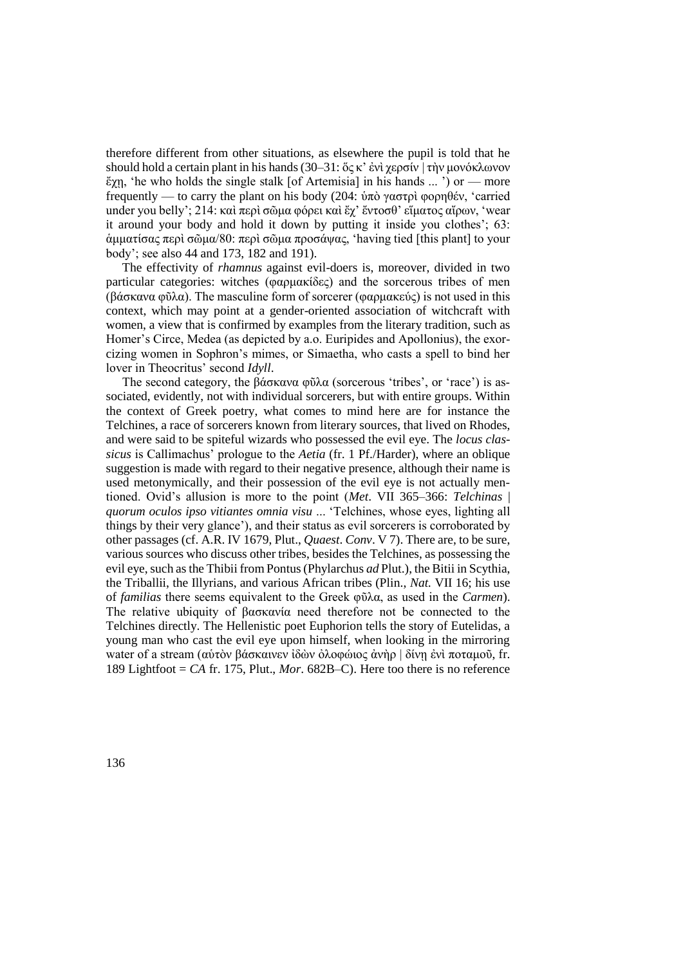therefore different from other situations, as elsewhere the pupil is told that he should hold a certain plant in his hands (30–31: ὅς κ' ἐνὶ χερσίν | τὴν μονόκλωνον ἔχῃ, 'he who holds the single stalk [of Artemisia] in his hands ... ') or — more frequently — to carry the plant on his body (204: ὑπὸ γαστρὶ φορηθέν, 'carried under you belly'; 214: καὶ περὶ σῶμα φόρει καὶ ἔχ' ἔντοσθ' εἵματος αἴρων, 'wear it around your body and hold it down by putting it inside you clothes'; 63: ἁμματίσας περὶ σῶμα/80: περὶ σῶμα προσάψας, 'having tied [this plant] to your body'; see also 44 and 173, 182 and 191).

The effectivity of *rhamnus* against evil-doers is, moreover, divided in two particular categories: witches (φαρμακίδες) and the sorcerous tribes of men (βάσκανα φῦλα). The masculine form of sorcerer (φαρμακεύς) is not used in this context, which may point at a gender-oriented association of witchcraft with women, a view that is confirmed by examples from the literary tradition, such as Homer's Circe, Medea (as depicted by a.o. Euripides and Apollonius), the exorcizing women in Sophron's mimes, or Simaetha, who casts a spell to bind her lover in Theocritus' second *Idyll*.

The second category, the βάσκανα φῦλα (sorcerous 'tribes', οr 'race') is associated, evidently, not with individual sorcerers, but with entire groups. Within the context of Greek poetry, what comes to mind here are for instance the Telchines, a race of sorcerers known from literary sources, that lived on Rhodes, and were said to be spiteful wizards who possessed the evil eye. The *locus classicus* is Callimachus' prologue to the *Aetia* (fr. 1 Pf./Harder), where an oblique suggestion is made with regard to their negative presence, although their name is used metonymically, and their possession of the evil eye is not actually mentioned. Ovid's allusion is more to the point (*Met*. VII 365–366: *Telchinas* | *quorum oculos ipso vitiantes omnia visu* ... 'Telchines, whose eyes, lighting all things by their very glance'), and their status as evil sorcerers is corroborated by other passages (cf. A.R. IV 1679, Plut., *Quaest*. *Conv*. V 7). There are, to be sure, various sources who discuss other tribes, besides the Telchines, as possessing the evil eye, such as the Thibii from Pontus (Phylarchus *ad* Plut.), the Bitii in Scythia, the Triballii, the Illyrians, and various African tribes (Plin., *Nat.* VII 16; his use of *familias* there seems equivalent to the Greek φῦλα, as used in the *Carmen*). The relative ubiquity of βασκανία need therefore not be connected to the Telchines directly. The Hellenistic poet Euphorion tells the story of Eutelidas, a young man who cast the evil eye upon himself, when looking in the mirroring water of a stream (αύτὸν βάσκαινεν ἰδὼν ὀλοφώιος ἀνὴρ | δίνῃ ἐνὶ ποταμοῦ, fr. 189 Lightfoot = *CA* fr. 175, Plut., *Mor*. 682B–C). Here too there is no reference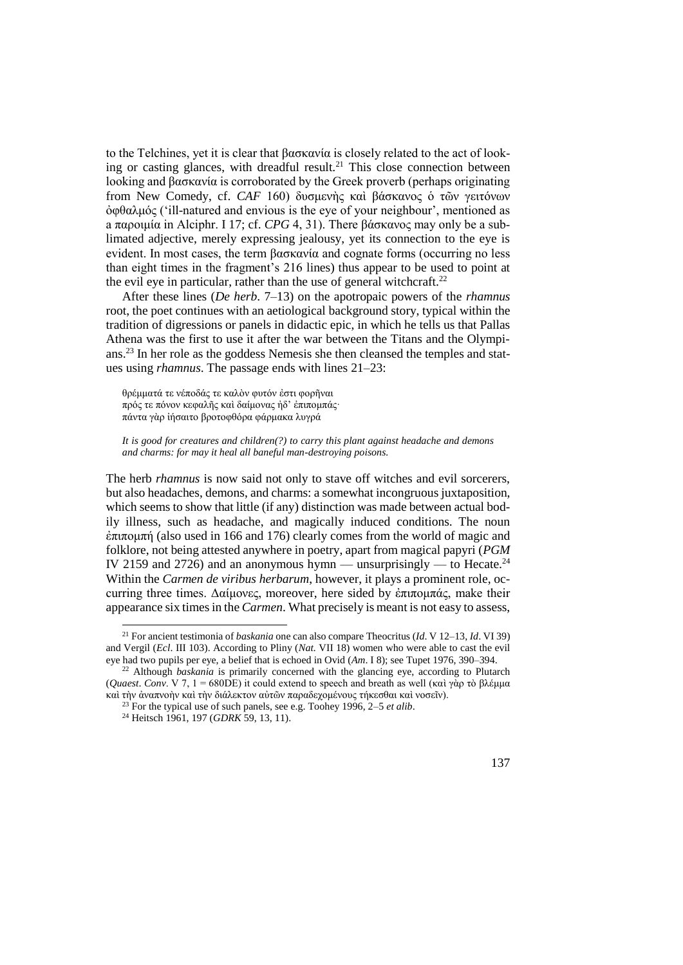to the Telchines, yet it is clear that βασκανία is closely related to the act of looking or casting glances, with dreadful result.<sup>21</sup> This close connection between looking and βασκανία is corroborated by the Greek proverb (perhaps originating from New Comedy, cf. *CAF* 160) δυσμενὴς καὶ βάσκανος ὁ τῶν γειτόνων ὀφθαλμός ('ill-natured and envious is the eye of your neighbour', mentioned as a παροιμία in Alciphr. I 17; cf. *CPG* 4, 31). There βάσκανος may only be a sublimated adjective, merely expressing jealousy, yet its connection to the eye is evident. In most cases, the term βασκανία and cognate forms (occurring no less than eight times in the fragment's 216 lines) thus appear to be used to point at the evil eye in particular, rather than the use of general witchcraft.<sup>22</sup>

After these lines (*De herb*. 7–13) on the apotropaic powers of the *rhamnus* root, the poet continues with an aetiological background story, typical within the tradition of digressions or panels in didactic epic, in which he tells us that Pallas Athena was the first to use it after the war between the Titans and the Olympians.<sup>23</sup> In her role as the goddess Nemesis she then cleansed the temples and statues using *rhamnus*. The passage ends with lines 21–23:

θρέμματά τε νέποδάς τε καλὸν φυτόν ἐστι φορῆναι πρός τε πόνον κεφαλῆς καὶ δαίμονας ἠδ' ἐπιπομπάς· πάντα γὰρ ἰήσαιτο βροτοφθόρα φάρμακα λυγρά

*It is good for creatures and children(?) to carry this plant against headache and demons and charms: for may it heal all baneful man-destroying poisons.*

The herb *rhamnus* is now said not only to stave off witches and evil sorcerers, but also headaches, demons, and charms: a somewhat incongruous juxtaposition, which seems to show that little (if any) distinction was made between actual bodily illness, such as headache, and magically induced conditions. The noun ἐπιπομπή (also used in 166 and 176) clearly comes from the world of magic and folklore, not being attested anywhere in poetry, apart from magical papyri (*PGM*  IV 2159 and 2726) and an anonymous hymn — unsurprisingly — to Hecate.<sup>24</sup> Within the *Carmen de viribus herbarum*, however, it plays a prominent role, occurring three times. Δαίμονες, moreover, here sided by ἐπιπομπάς, make their appearance six times in the *Carmen*. What precisely is meant is not easy to assess,



<sup>21</sup> For ancient testimonia of *baskania* one can also compare Theocritus (*Id*. V 12–13, *Id*. VI 39) and Vergil (*Ecl*. III 103). According to Pliny (*Nat.* VII 18) women who were able to cast the evil eye had two pupils per eye, a belief that is echoed in Ovid (*Am*. I 8); see Tupet 1976, 390–394.

<sup>22</sup> Although *baskania* is primarily concerned with the glancing eye, according to Plutarch (*Quaest*. *Conv*. V 7, 1 = 680DE) it could extend to speech and breath as well (καὶ γὰρ τὸ βλέμμα καὶ τὴν ἀναπνοὴν καὶ τὴν διάλεκτον αὐτῶν παραδεχομένους τήκεσθαι καὶ νοσεῖν).

<sup>23</sup> For the typical use of such panels, see e.g. Toohey 1996, 2–5 *et alib*.

<sup>24</sup> Heitsch 1961, 197 (*GDRK* 59, 13, 11).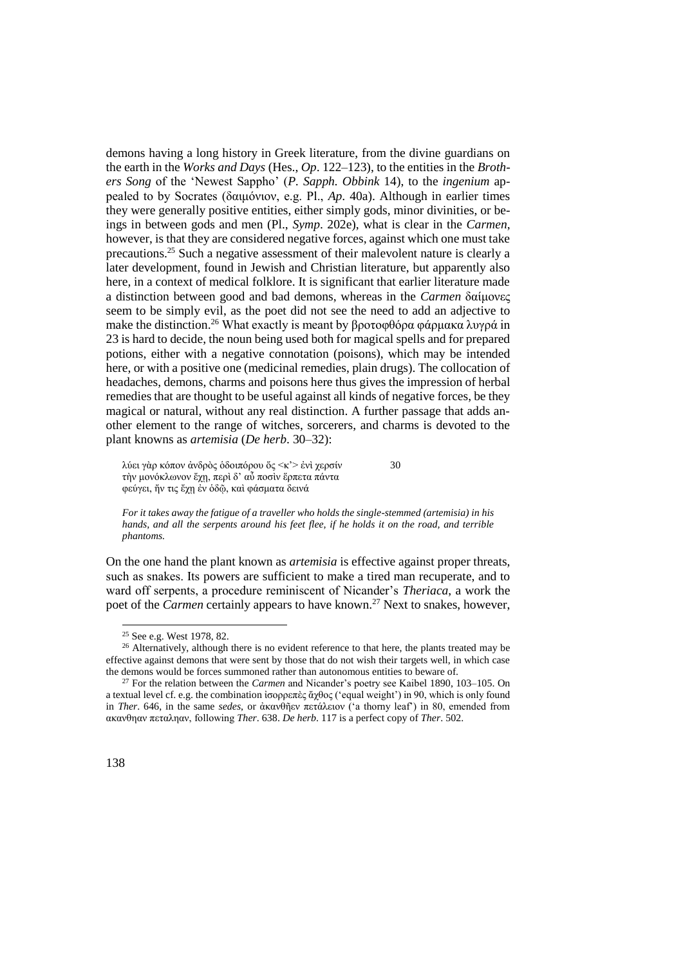demons having a long history in Greek literature, from the divine guardians on the earth in the *Works and Days* (Hes., *Op*. 122–123), to the entities in the *Brothers Song* of the 'Newest Sappho' (*P. Sapph. Obbink* 14), to the *ingenium* appealed to by Socrates (δαιμόνιον, e.g. Pl., *Ap*. 40a). Although in earlier times they were generally positive entities, either simply gods, minor divinities, or beings in between gods and men (Pl., *Symp*. 202e), what is clear in the *Carmen*, however, is that they are considered negative forces, against which one must take precautions.<sup>25</sup> Such a negative assessment of their malevolent nature is clearly a later development, found in Jewish and Christian literature, but apparently also here, in a context of medical folklore. It is significant that earlier literature made a distinction between good and bad demons, whereas in the *Carmen* δαίμονες seem to be simply evil, as the poet did not see the need to add an adjective to make the distinction.<sup>26</sup> What exactly is meant by βροτοφθόρα φάρμακα λυγρά in 23 is hard to decide, the noun being used both for magical spells and for prepared potions, either with a negative connotation (poisons), which may be intended here, or with a positive one (medicinal remedies, plain drugs). The collocation of headaches, demons, charms and poisons here thus gives the impression of herbal remedies that are thought to be useful against all kinds of negative forces, be they magical or natural, without any real distinction. A further passage that adds another element to the range of witches, sorcerers, and charms is devoted to the plant knowns as *artemisia* (*De herb*. 30–32):

λύει γὰρ κόπον ἀνδρὸς ὁδοιπόρου ὅς <κ'> ἐνὶ χερσίν 30 τὴν μονόκλωνον ἔχῃ, περὶ δ' αὖ ποσὶν ἕρπετα πάντα φεύγει, ἤν τις ἔχῃ ἐν ὁδῷ, καὶ φάσματα δεινά

*For it takes away the fatigue of a traveller who holds the single-stemmed (artemisia) in his hands, and all the serpents around his feet flee, if he holds it on the road, and terrible phantoms.*

On the one hand the plant known as *artemisia* is effective against proper threats, such as snakes. Ιts powers are sufficient to make a tired man recuperate, and to ward off serpents, a procedure reminiscent of Nicander's *Theriaca*, a work the poet of the *Carmen* certainly appears to have known.<sup>27</sup> Next to snakes, however,

<sup>25</sup> See e.g. West 1978, 82.

<sup>&</sup>lt;sup>26</sup> Alternatively, although there is no evident reference to that here, the plants treated may be effective against demons that were sent by those that do not wish their targets well, in which case the demons would be forces summoned rather than autonomous entities to beware of.

<sup>27</sup> For the relation between the *Carmen* and Nicander's poetry see Kaibel 1890, 103–105. On a textual level cf. e.g. the combination ἰσορρεπὲς ἄχθος ('equal weight') in 90, which is only found in *Ther*. 646, in the same *sedes*, or ἀκανθῆεν πετάλειον ('a thorny leaf') in 80, emended from ακανθηαν πεταληαν, following *Ther*. 638. *De herb*. 117 is a perfect copy of *Ther*. 502.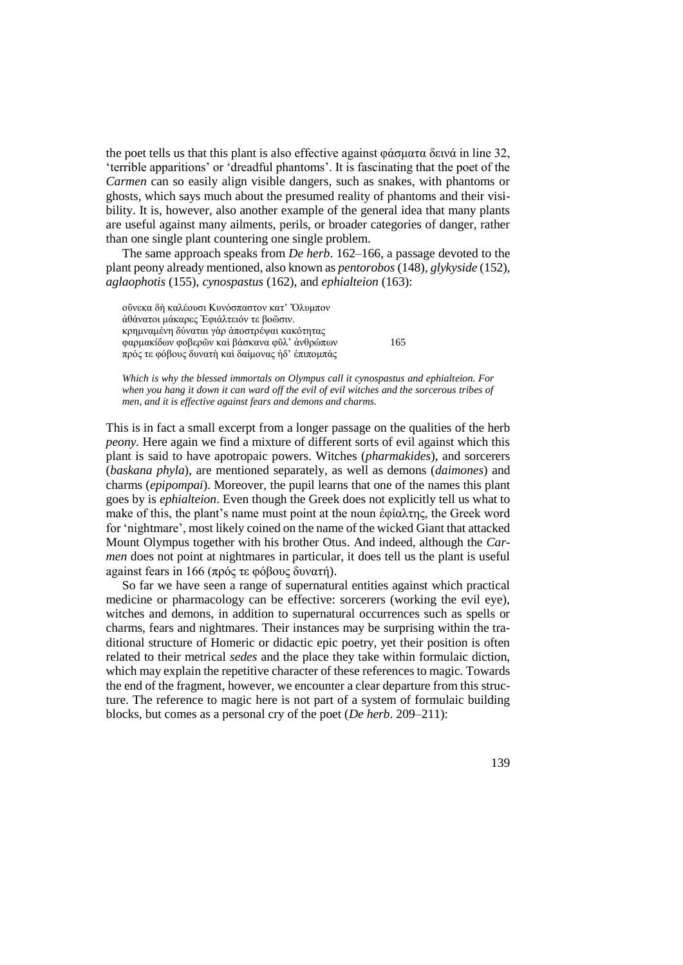the poet tells us that this plant is also effective against φάσματα δεινά in line 32, 'terrible apparitions' or 'dreadful phantoms'. It is fascinating that the poet of the *Carmen* can so easily align visible dangers, such as snakes, with phantoms or ghosts, which says much about the presumed reality of phantoms and their visibility. It is, however, also another example of the general idea that many plants are useful against many ailments, perils, or broader categories of danger, rather than one single plant countering one single problem.

The same approach speaks from *De herb*. 162–166, a passage devoted to the plant peony already mentioned, also known as *pentorobos* (148), *glykyside* (152), *aglaophotis* (155), *cynospastus* (162), and *ephialteion* (163):

οὕνεκα δὴ καλέουσι Κυνόσπαστον κατ' Ὄλυμπον ἀθάνατοι μάκαρες Ἐφιάλτειόν τε βοῶσιν. κρημναμένη δύναται γὰρ ἀποστρέψαι κακότητας φαρμακίδων φοβερῶν καὶ βάσκανα φῦλ' ἀνθρώπων 165 πρός τε φόβους δυνατὴ καὶ δαίμονας ἠδ' ἐπιπομπάς

*Which is why the blessed immortals on Olympus call it cynospastus and ephialteion. For when you hang it down it can ward off the evil of evil witches and the sorcerous tribes of men, and it is effective against fears and demons and charms.*

This is in fact a small excerpt from a longer passage on the qualities of the herb *peony.* Here again we find a mixture of different sorts of evil against which this plant is said to have apotropaic powers. Witches (*pharmakides*), and sorcerers (*baskana phyla*), are mentioned separately, as well as demons (*daimones*) and charms (*epipompai*). Moreover, the pupil learns that one of the names this plant goes by is *ephialteion*. Even though the Greek does not explicitly tell us what to make of this, the plant's name must point at the noun ἐφίαλτης, the Greek word for 'nightmare', most likely coined on the name of the wicked Giant that attacked Mount Olympus together with his brother Otus. And indeed, although the *Carmen* does not point at nightmares in particular, it does tell us the plant is useful against fears in 166 (πρός τε φόβους δυνατή).

So far we have seen a range of supernatural entities against which practical medicine or pharmacology can be effective: sorcerers (working the evil eye), witches and demons, in addition to supernatural occurrences such as spells or charms, fears and nightmares. Their instances may be surprising within the traditional structure of Homeric or didactic epic poetry, yet their position is often related to their metrical *sedes* and the place they take within formulaic diction, which may explain the repetitive character of these references to magic. Towards the end of the fragment, however, we encounter a clear departure from this structure. The reference to magic here is not part of a system of formulaic building blocks, but comes as a personal cry of the poet (*De herb*. 209–211):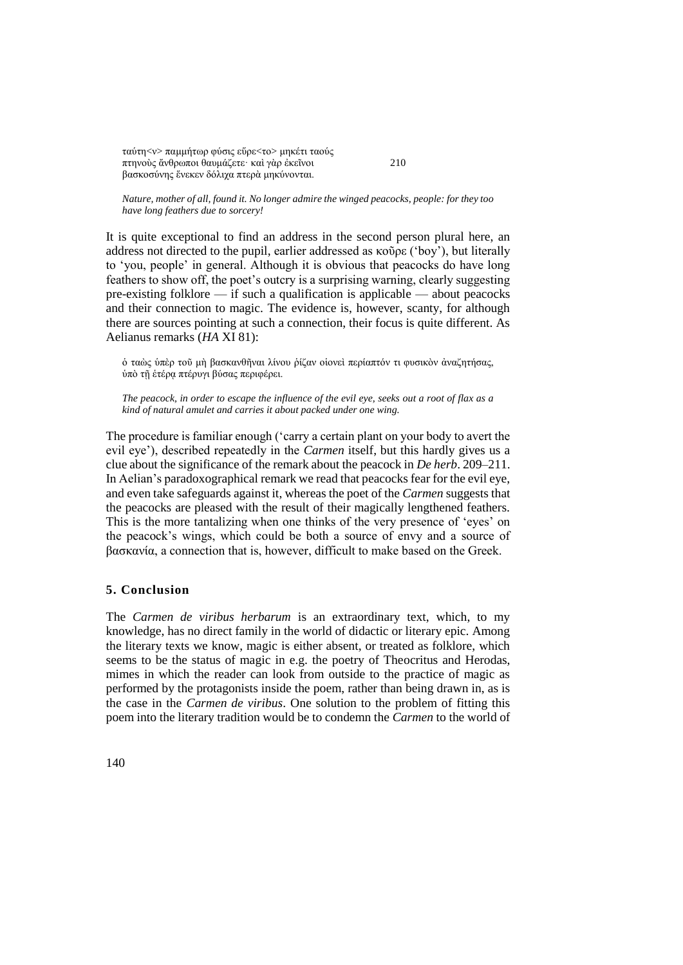ταύτ[η<ν>](http://stephanus.tlg.uci.edu/help/BetaManual/online/SB2.html) παμμήτωρ φύσις εὕρ[ε<το>](http://stephanus.tlg.uci.edu/help/BetaManual/online/SB2.html) μηκέτι ταούς πτηνοὺς ἄνθρωποι θαυμάζετε· καὶ γὰρ ἐκεῖνοι 210 βασκοσύνης ἕνεκεν δόλιχα πτερὰ μηκύνονται.

*Nature, mother of all, found it. No longer admire the winged peacocks, people: for they too have long feathers due to sorcery!*

It is quite exceptional to find an address in the second person plural here, an address not directed to the pupil, earlier addressed as κοῦρε ('boy'), but literally to 'you, people' in general. Although it is obvious that peacocks do have long feathers to show off, the poet's outcry is a surprising warning, clearly suggesting pre-existing folklore — if such a qualification is applicable — about peacocks and their connection to magic. The evidence is, however, scanty, for although there are sources pointing at such a connection, their focus is quite different. As Aelianus remarks (*HA* XI 81):

ὁ ταὼς ὑπὲρ τοῦ μὴ βασκανθῆναι λίνου ῥίζαν οἱονεὶ περίαπτόν τι φυσικὸν ἀναζητήσας, ὑπὸ τῇ ἑτέρᾳ πτέρυγι βύσας περιφέρει.

*The peacock, in order to escape the influence of the evil eye, seeks out a root of flax as a kind of natural amulet and carries it about packed under one wing.*

The procedure is familiar enough ('carry a certain plant on your body to avert the evil eye'), described repeatedly in the *Carmen* itself, but this hardly gives us a clue about the significance of the remark about the peacock in *De herb*. 209–211. In Aelian's paradoxographical remark we read that peacocks fear for the evil eye, and even take safeguards against it, whereas the poet of the *Carmen* suggests that the peacocks are pleased with the result of their magically lengthened feathers. This is the more tantalizing when one thinks of the very presence of 'eyes' on the peacock's wings, which could be both a source of envy and a source of βασκανία, a connection that is, however, difficult to make based on the Greek.

## **5. Conclusion**

The *Carmen de viribus herbarum* is an extraordinary text, which, to my knowledge, has no direct family in the world of didactic or literary epic. Among the literary texts we know, magic is either absent, or treated as folklore, which seems to be the status of magic in e.g. the poetry of Theocritus and Herodas, mimes in which the reader can look from outside to the practice of magic as performed by the protagonists inside the poem, rather than being drawn in, as is the case in the *Carmen de viribus*. One solution to the problem of fitting this poem into the literary tradition would be to condemn the *Carmen* to the world of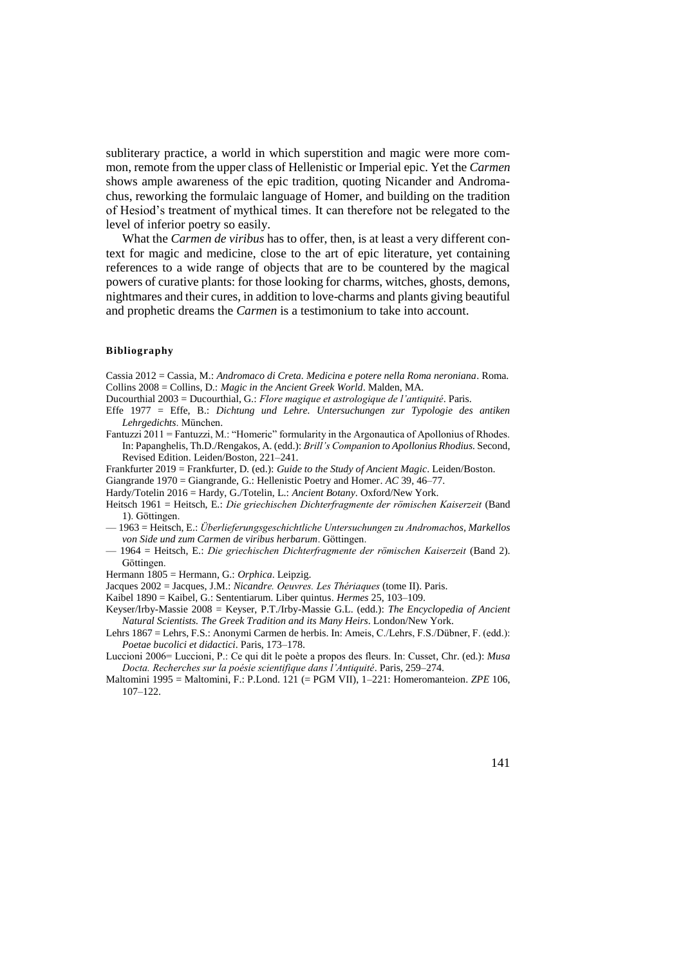subliterary practice, a world in which superstition and magic were more common, remote from the upper class of Hellenistic or Imperial epic. Yet the *Carmen*  shows ample awareness of the epic tradition, quoting Nicander and Andromachus, reworking the formulaic language of Homer, and building on the tradition of Hesiod's treatment of mythical times. It can therefore not be relegated to the level of inferior poetry so easily.

What the *Carmen de viribus* has to offer, then, is at least a very different context for magic and medicine, close to the art of epic literature, yet containing references to a wide range of objects that are to be countered by the magical powers of curative plants: for those looking for charms, witches, ghosts, demons, nightmares and their cures, in addition to love-charms and plants giving beautiful and prophetic dreams the *Carmen* is a testimonium to take into account.

#### **Bibliography**

Cassia 2012 = Cassia, M.: *Andromaco di Creta. Medicina e potere nella Roma neroniana*. Roma. Collins 2008 = Collins, D.: *Magic in the Ancient Greek World*. Malden, MA.

Ducourthial 2003 = Ducourthial, G.: *Flore magique et astrologique de l'antiquité*. Paris.

- Effe 1977 = Effe, B.: *Dichtung und Lehre. Untersuchungen zur Typologie des antiken Lehrgedichts*. München.
- Fantuzzi 2011 = Fantuzzi, M.: "Homeric" formularity in the Argonautica of Apollonius of Rhodes. In: Papanghelis, Th.D./Rengakos, A. (edd.): *Brill's Companion to Apollonius Rhodius.* Second, Revised Edition. Leiden/Boston, 221–241.

Frankfurter 2019 = Frankfurter, D. (ed.): *Guide to the Study of Ancient Magic*. Leiden/Boston.

Giangrande 1970 = Giangrande, G.: Hellenistic Poetry and Homer. *AC* 39, 46–77.

Hardy/Totelin 2016 = Hardy, G./Totelin, L.: *Ancient Botany*. Oxford/New York.

- Heitsch 1961 = Heitsch, E.: *Die griechischen Dichterfragmente der römischen Kaiserzeit* (Band 1). Göttingen.
- 1963 = Heitsch, E.: *Überlieferungsgeschichtliche Untersuchungen zu Andromachos, Markellos von Side und zum Carmen de viribus herbarum*. Göttingen.
- 1964 = Heitsch, E.: *Die griechischen Dichterfragmente der römischen Kaiserzeit* (Band 2). Göttingen.
- Hermann 1805 = Hermann, G.: *Orphica*. Leipzig.

Jacques 2002 = Jacques, J.M.: *Nicandre. Oeuvres. Les Thériaques* (tome II). Paris.

Kaibel 1890 = Kaibel, G.: Sententiarum. Liber quintus. *Hermes* 25, 103–109.

- Keyser/Irby-Massie 2008 = Keyser, P.T./Irby-Massie G.L. (edd.): *The Encyclopedia of Ancient Natural Scientists. The Greek Tradition and its Many Heirs*. London/New York.
- Lehrs 1867 = Lehrs, F.S.: Anonymi Carmen de herbis. In: Ameis, C./Lehrs, F.S./Dübner, F. (edd.): *Poetae bucolici et didactici*. Paris, 173–178.

Luccioni 2006= Luccioni, P.: Ce qui dit le poète a propos des fleurs. In: Cusset, Chr. (ed.): *Musa Docta. Recherches sur la poésie scientifique dans l'Antiquité*. Paris, 259–274.

Maltomini 1995 = Maltomini, F.: P.Lond. 121 (= PGM VII), 1–221: Homeromanteion. *ZPE* 106, 107–122.